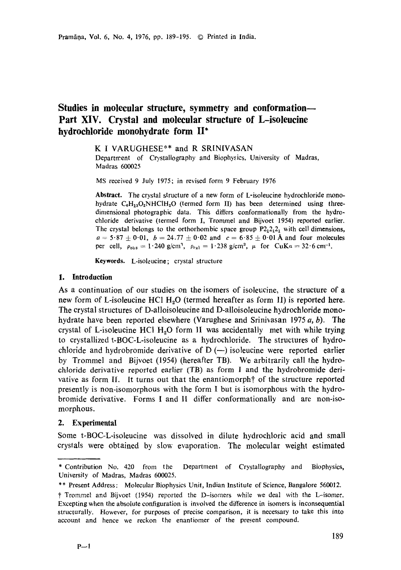# **Studies in molecular structure, symmetry and conformation-- Part XIV. Crystal and molecular structure of L-isoleucine hydrochloride monohydrate form** II\*

K I VARUGHESE\*\* and R SRINIVASAN

Department of Crystallography and Biophysics, University of Madras, Madras 600025

MS received 9 July 1975; in revised form 9 February 1976

**Abstract.** The crystal structure of a new form of L-isoleucine hydrochloride monohydrate  $C_6H_{13}O_2NHCH_2O$  (termed form II) has been determined using threedimensional photographic data. This differs conformationally from the hydrochloride derivative (termed form I, Trommel and Bijvoet 1954) reported earlier. The crystal belongs to the orthorhombic space group  $P2_12_12_1$  with cell dimensions,  $a = 5.87 \pm 0.01$ ,  $b = 24.77 \pm 0.02$  and  $c = 6.85 \pm 0.01$  Å and four molecules per cell,  $\rho_{obs} = 1.240 \text{ g/cm}^3$ ,  $\rho_{val} = 1.238 \text{ g/cm}^3$ ,  $\mu$  for CuKa = 32.6 cm<sup>-1</sup>.

**Keywords.** L-isoleucine; crystal structure

# **1, Introduction**

As a continuation of our studies on the isomers of isoleucine, the structure of a new form of L-isoleucine HCl H<sub>2</sub>O (termed hereafter as form II) is reported here. The crystal structures of D-alloisoleucine and D-alloisoleucine hydrochloride monohydrate have been reported elsewhere (Varughese and Srinivasan 1975  $a, b$ ). The crystal of L-isoleucine HCl  $H<sub>2</sub>O$  form II was accidentally met with while trying to crystallized  $t$ -BOC-L-isoleucine as a hydrochloride. The structures of hydrochloride and hydrobromide derivative of  $D$  (--) isoleucine were reported earlier by Trommel and Bijvoet (1954) (hereafter TB). We arbitrarily call the hydrochloride derivative reported earlier (TB) as form I and the hydrobromide derivative as form II. It turns out that the enantiomorph<sup> $\dagger$ </sup> of the structure reported presently is non-isomorphous with the form I but is isomorphous with the hydrobromide derivative. Forms I and I! differ conformationally and are non-isomorphous.

# **2. Experimental**

Some t-BOC-L-isoleucine was dissolved in dilute hydrochloric acid and small crystals were obtained by slow evaporation. The molecular weight estimated

<sup>\*</sup> Contribution No. 420 from the Department of Crystallography and Biophysics, University of Madras, Madras 600025.

<sup>\*\*</sup> Present Address: Molecular Biophysics Unit, Indian Institute of Science, Bangalore 560012.

Trommel and Bijvoet (1954) reported the D-isomers whiIe we deal with the L-isomer. Excepting when the absolute configuration is involved the difference in isomers is inconsequential structurally. However, for purposes of precise comparison, it is necessary to take this into account and hence we reckon the enantiomer of the present compound.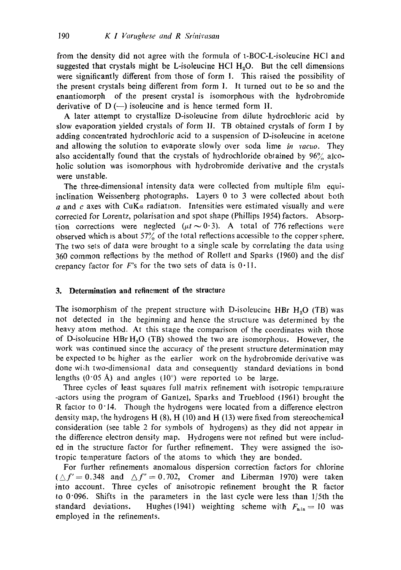from the density did not agree with the formula of t-BOC-L-isoleucine HCI and suggested that crystals might be L-isoleucine HCl  $H_2O$ . But the cell dimensions were significantly different from those of form 1. This raised the possibility of the present crystals being different from form 1. It turned out to be so and the enantiomorph of the present crystal is isomorphous with the hydrobromide derivative of  $D$  (-) isoleucine and is hence termed form II.

A later attempt to crystallize D-isoleucine from dilute hydrochloric acid by slow evaporation yielded crystals of form II. TB obtained crystals of form I by adding concentrated hydrochloric acid to a suspension of D-isoleucine in acetone and allowing the solution to evaporate slowly over soda lime *in racuo.* They also accidentally found that the crystals of hydrochloride obtained by  $96\%$  alcoholic solution was isomorphous with hydrobromide derivative and the crystals were unstable.

The three-dimensional intensity data were collected from multiple film equiinclination Weissenberg photographs. Layers 0 to 3 were collected about both a and c axes with CuKa radiation. Intensities were estimated visually and were corrected for Lorentz, polarisation and spot shape (Phillips 1954) factors. Absorption corrections were neglected ( $\mu t \sim 0.3$ ). A total of 776 reflections were observed which is about  $57\%$  of the total reflections accessible to the copper sphere. The two sets of data were brought to a single scale by correlating the data using 360 common reflections by the method of Rollett and Sparks (1960) and the disf crepancy factor for  $F$ 's for the two sets of data is  $0.11$ .

# **3. Determination and refinement of the structure**

The isomorphism of the prepent structure with D-isoleucine HBr  $H_2O$  (TB) was not detected in the beginning and hence the structure was determined by the heavy atom method. At this stage the comparison of the coordinates with those of D-isoleucine HBr  $H_2O$  (TB) showed the two are isomorphous. However, the work was continued since the accuracy of the present structure determination may be expected to be higher as the earlier work on the hydrobromide derivative was done with two-dimensional data and consequently standard deviations in bond lengths  $(0.05 \text{ Å})$  and angles  $(10^{\circ})$  were reported to be large.

Three cycles of least squares full matrix refinement with isotropic temperature -actors using the program of Gantzel, Sparks and Trueblood (1961) brought the R factor to 0.14. Though the hydrogens were located from a difference electron density map, the hydrogens H  $(8)$ , H  $(10)$  and H  $(13)$  were fixed from stereochemical consideration (see table 2 for symbols of hydrogens) as they did not appear in the difference electron density map. Hydrogens were not refined but were included in the structure factor for further refinement. They were assigned the isotropic temperature factors of the atoms to which they are bonded.

For further refinements anomalous dispersion correction factors for chlorine  $(\triangle f' = 0.348$  and  $\triangle f'' = 0.702$ , Cromer and Liberman 1970) were taken into account. Three cycles of anisotropic refinement brought the R factor to  $0.096$ . Shifts in the parameters in the last cycle were less than  $1/5$ th the standard deviations. Hughes (1941) weighting scheme with  $F_{\text{min}} = 10$  was employed in the refinements.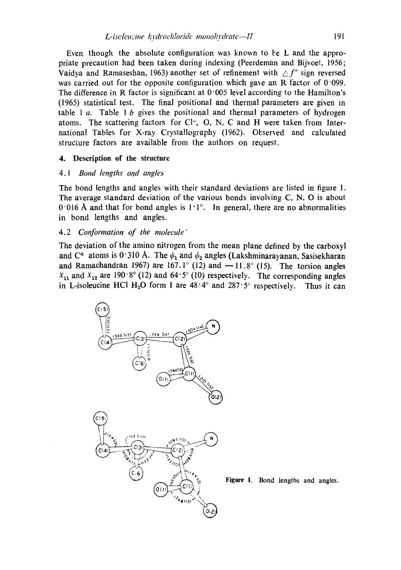Even though the absolute configuration was known to be  $L$  and the appropriate precaution had been taken during indexing (Peerdeman and Bijvoet, 1956; Vaidya and Ramaseshan, 1963) another set of refinement with  $\triangle f''$  sign reversed was carried out for the opposite configuration which gave an R factor of  $0.099$ . The difference in R factor is significant at  $0.005$  level according to the Hamilton's (1965) statistical test. The final positional and thermal parameters are given in table 1 a. Table 1 b gives the positional and thermal parameters of hydrogen atoms. The scattering factors for  $Cl^-$ , O, N, C and H were taken from International Tables for X-ray Crystallography (1962). Observed and calculaled structure factors are available from the authors on request.

# **4. Description of the structure**

# 4.1 *Bond lengths and angles*

The bond lengths and angles with their standard deviations are listed in figure 1. The average standard deviation of the various bonds involving C, N, O is about 0.016 Å and that for bond angles is  $1.1^{\circ}$ . In general, there are no abnormalities in bond lengths and angles.

# 4.2 *Conformation of the molecule"*

The deviation of the amino nitrogen from the mean plane defined by the carboxyl and C<sup>*a*</sup> atoms is 0.310 Å. The  $\psi_1$  and  $\psi_2$  angles (Lakshminarayanan, Sasisekharan and Ramachandran 1967) are 167.1° (12) and  $-11.8$ ° (15). The torsion angles  $x_{11}$  and  $x_{12}$  are 190°8° (12) and 64°5° (10) respectively. The corresponding angles in L-isoleucine HCl H<sub>2</sub>O form I are  $48.4^\circ$  and  $287.5^\circ$  respectively. Thus it can

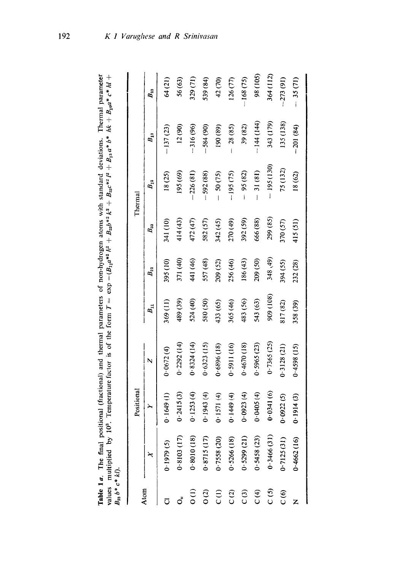| $\Xi$                                                         |                                                                                                                             |             |
|---------------------------------------------------------------|-----------------------------------------------------------------------------------------------------------------------------|-------------|
|                                                               |                                                                                                                             |             |
|                                                               |                                                                                                                             |             |
|                                                               |                                                                                                                             |             |
| leviations.                                                   |                                                                                                                             |             |
|                                                               |                                                                                                                             |             |
|                                                               |                                                                                                                             |             |
|                                                               |                                                                                                                             |             |
|                                                               |                                                                                                                             |             |
| and thermal parameters of non-hydrogen atoms with standard de | e factor is of the form $T = \exp{-(B_1 a^{*2} h^2 + B_2 b^{*2} k^2 + B_3 c^{*2} l^2 + B_1 a^* b^* h k + B_1 a^* c^* l^*)}$ |             |
|                                                               |                                                                                                                             |             |
|                                                               |                                                                                                                             |             |
|                                                               |                                                                                                                             |             |
|                                                               |                                                                                                                             |             |
|                                                               |                                                                                                                             |             |
|                                                               |                                                                                                                             |             |
|                                                               |                                                                                                                             |             |
|                                                               |                                                                                                                             |             |
|                                                               |                                                                                                                             |             |
|                                                               |                                                                                                                             |             |
|                                                               |                                                                                                                             |             |
| $\ddot{\phantom{a}}$                                          |                                                                                                                             |             |
|                                                               |                                                                                                                             |             |
|                                                               | 103 Tempes<br>ĺ                                                                                                             |             |
|                                                               |                                                                                                                             |             |
|                                                               |                                                                                                                             |             |
| The final pos                                                 |                                                                                                                             |             |
|                                                               |                                                                                                                             |             |
| able 1a.                                                      | alues multiplied by                                                                                                         | $b * c * k$ |
|                                                               |                                                                                                                             |             |

| ילייני באים לא האים באים באים באו לא האים האו לא האו לא האו לא האו לא האו לא האו לא האו לא האו לא האו לא האו ל<br>לא האו לא האו לא האו לא האו לא האו לא האו לא האו לא האו לא האו לא האו לא האו לא האו לא האו לא האו לא האו לא ה |            |            |            |           |          |          |             |            |           |
|---------------------------------------------------------------------------------------------------------------------------------------------------------------------------------------------------------------------------------|------------|------------|------------|-----------|----------|----------|-------------|------------|-----------|
|                                                                                                                                                                                                                                 |            | Positional |            |           |          |          | Thermal     |            |           |
| Atom                                                                                                                                                                                                                            |            |            | N          | $B_{11}$  | $B_{22}$ | $B_{33}$ | $B_{12}$    | $B_{13}$   | $B_{33}$  |
|                                                                                                                                                                                                                                 | 0.1979(5)  | 0.1649(1)  | 0.0672(4)  | 369(11)   | 395 (10) | 341 (10) | 18(25)      | $-137(23)$ | 64(21)    |
|                                                                                                                                                                                                                                 | 0.8103(17) | 0.2415(3)  | 0.2292(14) | 489 (39)  | 371 (40) | 414 (43) | 195 (69)    | 12(90)     | 56 (63)   |
| $\frac{1}{2}$                                                                                                                                                                                                                   | 0.8010(18) | 0.1253(4)  | 0.8324(14) | 524 (40)  | 441 (46) | 472 (47) | 226(81)     | $-316(96)$ | 329 (71)  |
| $\frac{1}{2}$                                                                                                                                                                                                                   | 0.8715(17) | 0.1943(4)  | 0.6323(15) | 580 (50)  | 557 (48) | 582 (57) | $-592(88)$  | $-584(90)$ | 539 (84)  |
| $\widehat{c}$                                                                                                                                                                                                                   | 0.7558(20) | 0.1571(4)  | 0.6896(18) | 433 (65)  | 209 (52) | 342 (45) | $-50(75)$   | 190 (89)   | 42 (70)   |
| C(2)                                                                                                                                                                                                                            | 0.5266(18) | 0.1449(4)  | 0.5911(16) | 365 (46)  | 256 (46) | 270 (49) | $-195(75)$  | 28 (85)    | 126(77)   |
| $\overline{c}$                                                                                                                                                                                                                  | 0.5299(21) | 0.0923(4)  | 0.4670(18) | 483 (56)  | 186 (43) | 392 (59) | 95 (82)     | 39 (82)    | 168 (75)  |
| $\frac{1}{2}$                                                                                                                                                                                                                   | 0.5458(23) | 0.0405(4)  | 0.5965(23) | 543 (63)  | 209 (50) | 666 (88) | $-31(81)$   | -144 (144) | 98 (105)  |
| C(5)                                                                                                                                                                                                                            | 0.3466(31) | 0.0341(6)  | 0.7365(25) | 909 (108) | 348 (49) | 299 (85) | $-195(130)$ | 343 (179)  | 364 (112) |

C (5) 0.34666 (31) 0.34666 (30.03666 (35) 348 (35) 3566 (37) 399 (37) 399 (1790-1966 (1790-1966) 370 C (6) 0.7125 (4) 0.7125 (5) 0.0922 (57) 370 (57) 370 (57) 370 (57) 370 (57) 370 (57) 75 (57) 75 (57) 75 (91) 7 (IL) st = (#8) 102 = (29) 81 (15) st = (82) 212 (66) 858 (51) 865+:0 (6) +161:0 (91) 299+:0 )

 $-273(91)$  $-35(71)$ 

135 (138)

75 (132)  $18(62)$ 

 $370(57)$ 415(51)

 $394(55)$ 232 (28)

817(82) 358 (39)

 $0.3128(21)$  $0.4598(15)$ 

 $0.0922(5)$  $0.1914(3)$ 

 $0.7125(31)$  $0.4662(16)$ 

 $C(6)$  $\overline{z}$ 

 $-201(84)$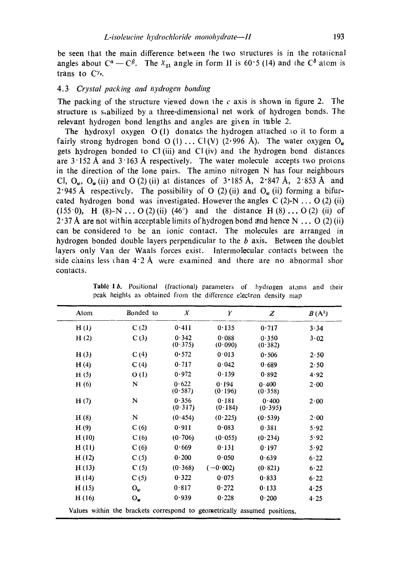be seen that the main difference between the two structures is in the rotational angles about  $C^{\alpha} - C^{\beta}$ . The  $X_{21}$  angle in form II is 60°5 (14) and the  $C^{\delta}$  atom is trans to  $C^{\gamma}$ .

# *4.3 Crystal packing and hydrogen bonding*

The packing of the structure viewed down the c axis is shown in figure 2. The structure is s,abilized by a three-dimensional net work of hydrogen bonds. The relevant hydrogen bond lengths and angles are given in table 2.

The hydroxyl oxygen  $O(1)$  donates the hydrogen attached to it to form a fairly strong hydrogen bond O (1)... Cl(V) (2.996 Å). The water oxygen  $O_{\nu}$ gets hydrogen bonded to C1 (iii) and CI (iv) and the hydrogen bond distances are  $3.152 \text{ Å}$  and  $3.163 \text{ Å}$  respectively. The water molecule accepts two protons in the direction of the lone pairs. The amino nitrogen N has four neighbours CI,  $Q_{\nu}$ ,  $Q_{\nu}$  (ii) and O (2) (ii) at distances of 3.185 Å, 2.847 Å, 2.853 Å and 2.945 Å respectively. The possibility of O (2) (ii) and  $O_\omega$  (ii) forming a bifurcated hydrogen bond was investigated. However the angles  $C(2)-N \ldots O(2)$  (ii) (155 $\cdot$ 0), H (8)-N ... O(2)(ii) (46 $\degree$ ) and the distance H (8)... O(2) (ii) of 2.37 Å are not within acceptable limits of hydrogen bond and hence N ... O (2) (ii) can be considered to be an ionic contact. The molecules are arranged in hydrogen bonded double layers perpendicular to the  $b$  axis. Between the doublet layers only Van der Waals forces exist, lntermolecular contacts between 1he side chains less than  $4.2 \text{ Å}$  were examined and there are no abnormal shor contacts.

| Atom  | Bonded to                                                                 | $\boldsymbol{X}$ | Y                | Z                | $B(A^2)$     |
|-------|---------------------------------------------------------------------------|------------------|------------------|------------------|--------------|
| H(I)  | C(2)                                                                      | 0.411            | 0.135            | 0.717            | 3.34         |
| H(2)  | C(3)                                                                      | 0.342<br>(0.375) | 0.088<br>(0.090) | 0.350<br>(0.382) | 3.02         |
| H(3)  | C(4)                                                                      | 0.572            | 0.013            | 0.506            | 2.50         |
| H(4)  | C(4)                                                                      | 0.717            | 0.042            | 0.689            | 2.50         |
| H(5)  | O(1)                                                                      | 0.972            | 0.139            | 0.892            | 4.92         |
| H(6)  | N                                                                         | 0.622<br>(0.587) | 0.194<br>(0.196) | 0.400<br>(0.358) | 2.00         |
| H(7)  | N                                                                         | 0.356<br>(0.317) | 0.181<br>(0.184) | 0.400<br>(0.395) | 2.00         |
| H(8)  | N                                                                         | (0.454)          | (0.225)          | (0.539)          | $2 \cdot 00$ |
| H(9)  | C(6)                                                                      | 0.911            | 0.083            | 0.381            | 5.92         |
| H(10) | C(6)                                                                      | (0.706)          | (0.055)          | (0.234)          | 5.92         |
| H(11) | C(6)                                                                      | 0.669            | 0.131            | 0.197            | 5.92         |
| H(12) | C(5)                                                                      | 0.200            | 0.050            | 0.639            | 6.22         |
| H(13) | C(5)                                                                      | (0.368)          | $(-0.002)$       | (0.821)          | 6.22         |
| H(14) | C(5)                                                                      | 0.322            | 0.075            | 0.833            | 6.22         |
| H(15) | $O_{\omega}$                                                              | 0.817            | 0.272            | 0.133            | 4.25         |
| H(16) | $O_{\boldsymbol{w}}$                                                      | 0.939            | 0.228            | 0.200            | $4 - 25$     |
|       | Values within the brackets correspond to geometrically assumed positions. |                  |                  |                  |              |

Tablè 1 b. Positional (fractional) parameters of hydrogen atoms and their peak heights as obtained from the difference electron density map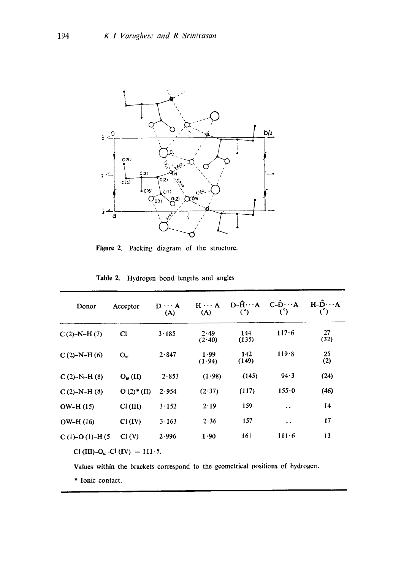

Figure 2. Packing diagram of the structure.

| Donor             | Acceptor                 | $D \cdots A$<br>(A) | $H \cdots A$<br>(A) | $D - \tilde{H} \cdots A$<br>(°) | $C-\ddot{D}\cdots A$<br>(°) | $H - D \cdots A$<br>(°) |
|-------------------|--------------------------|---------------------|---------------------|---------------------------------|-----------------------------|-------------------------|
| $C(2)$ -N-H $(7)$ | Cl                       | 3.185               | 2.49<br>(2.40)      | 144<br>(135)                    | 117.6                       | 27<br>(32)              |
| $C(2)-N-H(6)$     | O <sub>m</sub>           | 2.847               | 1.99<br>(1.94)      | 142<br>(149)                    | 119.8                       | 25<br>(2)               |
| $C(2)-N-H(8)$     | $O_w(II)$                | 2.853               | (1.98)              | (145)                           | 94.3                        | (24)                    |
| $C(2)$ -N-H $(8)$ | $O(2)$ <sup>*</sup> (II) | 2.954               | (2.37)              | (117)                           | 155.0                       | (46)                    |
| $OW-H(15)$        | Cl (III)                 | 3.152               | 2.19                | 159                             | $\ddot{\phantom{1}}$        | 14                      |
| $OW-H(16)$        | Cl (IV)                  | 3.163               | 2.36                | 157                             | $\bullet$ $\bullet$         | 17                      |
| $C(1)-O(1)-H(5)$  | Cl (V)                   | 2.996               | 1.90                | 161                             | $111-6$                     | 13                      |

Table 2. Hydrogen bond lengths and angles

Cl (III)-O<sub>w</sub>-Cl (IV) = 111-5.

Values within the brackets correspond to the geometrical positions of hydrogen.

\* Ionic contact.